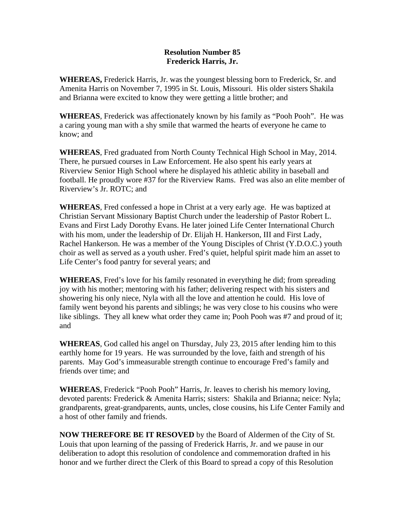## **Resolution Number 85 Frederick Harris, Jr.**

**WHEREAS,** Frederick Harris, Jr. was the youngest blessing born to Frederick, Sr. and Amenita Harris on November 7, 1995 in St. Louis, Missouri. His older sisters Shakila and Brianna were excited to know they were getting a little brother; and

**WHEREAS**, Frederick was affectionately known by his family as "Pooh Pooh". He was a caring young man with a shy smile that warmed the hearts of everyone he came to know; and

**WHEREAS**, Fred graduated from North County Technical High School in May, 2014. There, he pursued courses in Law Enforcement. He also spent his early years at Riverview Senior High School where he displayed his athletic ability in baseball and football. He proudly wore #37 for the Riverview Rams. Fred was also an elite member of Riverview's Jr. ROTC; and

**WHEREAS**, Fred confessed a hope in Christ at a very early age. He was baptized at Christian Servant Missionary Baptist Church under the leadership of Pastor Robert L. Evans and First Lady Dorothy Evans. He later joined Life Center International Church with his mom, under the leadership of Dr. Elijah H. Hankerson, III and First Lady, Rachel Hankerson. He was a member of the Young Disciples of Christ (Y.D.O.C.) youth choir as well as served as a youth usher. Fred's quiet, helpful spirit made him an asset to Life Center's food pantry for several years; and

**WHEREAS**, Fred's love for his family resonated in everything he did; from spreading joy with his mother; mentoring with his father; delivering respect with his sisters and showering his only niece, Nyla with all the love and attention he could. His love of family went beyond his parents and siblings; he was very close to his cousins who were like siblings. They all knew what order they came in; Pooh Pooh was #7 and proud of it; and

**WHEREAS**, God called his angel on Thursday, July 23, 2015 after lending him to this earthly home for 19 years. He was surrounded by the love, faith and strength of his parents. May God's immeasurable strength continue to encourage Fred's family and friends over time; and

**WHEREAS**, Frederick "Pooh Pooh" Harris, Jr. leaves to cherish his memory loving, devoted parents: Frederick & Amenita Harris; sisters: Shakila and Brianna; neice: Nyla; grandparents, great-grandparents, aunts, uncles, close cousins, his Life Center Family and a host of other family and friends.

**NOW THEREFORE BE IT RESOVED** by the Board of Aldermen of the City of St. Louis that upon learning of the passing of Frederick Harris, Jr. and we pause in our deliberation to adopt this resolution of condolence and commemoration drafted in his honor and we further direct the Clerk of this Board to spread a copy of this Resolution